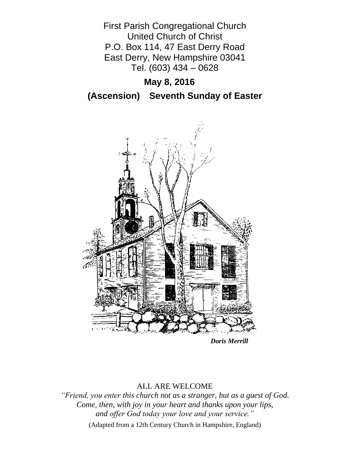First Parish Congregational Church United Church of Christ P.O. Box 114, 47 East Derry Road East Derry, New Hampshire 03041 Tel. (603) 434 – 0628

# **May 8, 2016**

**(Ascension) Seventh Sunday of Easter**



*Doris Merrill*

## ALL ARE WELCOME

*"Friend, you enter this church not as a stranger, but as a guest of God. Come, then, with joy in your heart and thanks upon your lips, and offer God today your love and your service."*

(Adapted from a 12th Century Church in Hampshire, England)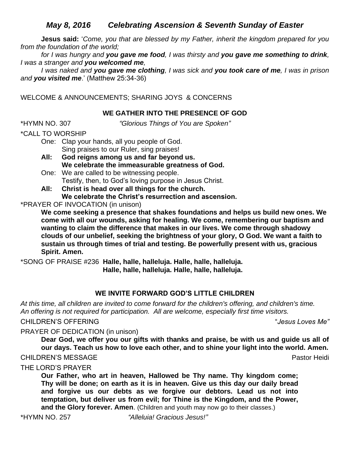# *May 8, 2016 Celebrating Ascension & Seventh Sunday of Easter*

**Jesus said:** '*Come, you that are blessed by my Father, inherit the kingdom prepared for you from the foundation of the world;* 

*for I was hungry and you gave me food, I was thirsty and you gave me something to drink, I was a stranger and you welcomed me,* 

*I was naked and you gave me clothing, I was sick and you took care of me, I was in prison and you visited me*.' (Matthew 25:34-36)

WELCOME & ANNOUNCEMENTS; SHARING JOYS & CONCERNS

## **WE GATHER INTO THE PRESENCE OF GOD**

\*HYMN NO. 307 *"Glorious Things of You are Spoken"*

\*CALL TO WORSHIP

One: Clap your hands, all you people of God. Sing praises to our Ruler, sing praises!

**All: God reigns among us and far beyond us. We celebrate the immeasurable greatness of God.**

One: We are called to be witnessing people. Testify, then, to God's loving purpose in Jesus Christ.

**All: Christ is head over all things for the church. We celebrate the Christ's resurrection and ascension.**

\*PRAYER OF INVOCATION (in unison)

**We come seeking a presence that shakes foundations and helps us build new ones. We come with all our wounds, asking for healing. We come, remembering our baptism and wanting to claim the difference that makes in our lives. We come through shadowy clouds of our unbelief, seeking the brightness of your glory, O God. We want a faith to sustain us through times of trial and testing. Be powerfully present with us, gracious Spirit. Amen.**

\*SONG OF PRAISE #236 **Halle, halle, halleluja. Halle, halle, halleluja.**

**Halle, halle, halleluja. Halle, halle, halleluja.**

## **WE INVITE FORWARD GOD'S LITTLE CHILDREN**

*At this time, all children are invited to come forward for the children's offering, and children's time. An offering is not required for participation. All are welcome, especially first time visitors.*

CHILDREN'S OFFERING "*Jesus Loves Me"*

PRAYER OF DEDICATION (in unison)

**Dear God, we offer you our gifts with thanks and praise, be with us and guide us all of our days. Teach us how to love each other, and to shine your light into the world. Amen.**

CHILDREN'S MESSAGE **Pastor Heidi** Pastor Heidi Pastor Heidi Pastor Heidi Pastor Heidi

THE LORD'S PRAYER

**Our Father, who art in heaven, Hallowed be Thy name. Thy kingdom come; Thy will be done; on earth as it is in heaven. Give us this day our daily bread and forgive us our debts as we forgive our debtors. Lead us not into temptation, but deliver us from evil; for Thine is the Kingdom, and the Power, and the Glory forever. Amen**. (Children and youth may now go to their classes.)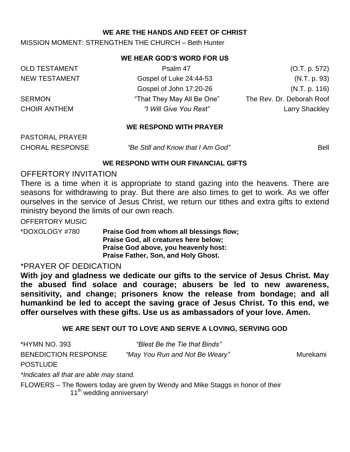### **WE ARE THE HANDS AND FEET OF CHRIST**

### MISSION MOMENT: STRENGTHEN THE CHURCH – Beth Hunter

#### **WE HEAR GOD'S WORD FOR US**

| <b>OLD TESTAMENT</b> | Psalm 47                   | (O.T. p. 572)             |
|----------------------|----------------------------|---------------------------|
| <b>NEW TESTAMENT</b> | Gospel of Luke 24:44-53    | (N.T. p. 93)              |
|                      | Gospel of John 17:20-26    | (N.T. p. 116)             |
| <b>SERMON</b>        | "That They May All Be One" | The Rev. Dr. Deborah Roof |
| <b>CHOIR ANTHEM</b>  | "I Will Give You Rest"     | <b>Larry Shackley</b>     |

#### **WE RESPOND WITH PRAYER**

PASTORAL PRAYER

CHORAL RESPONSE *"Be Still and Know that I Am God"* Bell

#### **WE RESPOND WITH OUR FINANCIAL GIFTS**

## OFFERTORY INVITATION

There is a time when it is appropriate to stand gazing into the heavens. There are seasons for withdrawing to pray. But there are also times to get to work. As we offer ourselves in the service of Jesus Christ, we return our tithes and extra gifts to extend ministry beyond the limits of our own reach.

OFFERTORY MUSIC

\*DOXOLOGY #780 **Praise God from whom all blessings flow; Praise God, all creatures here below; Praise God above, you heavenly host: Praise Father, Son, and Holy Ghost.**

## \*PRAYER OF DEDICATION

**With joy and gladness we dedicate our gifts to the service of Jesus Christ. May the abused find solace and courage; abusers be led to new awareness, sensitivity, and change; prisoners know the release from bondage; and all humankind be led to accept the saving grace of Jesus Christ. To this end, we offer ourselves with these gifts. Use us as ambassadors of your love. Amen.**

## **WE ARE SENT OUT TO LOVE AND SERVE A LOVING, SERVING GOD**

| *HYMN NO. 393                           | "Blest Be the Tie that Binds"                                                   |          |
|-----------------------------------------|---------------------------------------------------------------------------------|----------|
| <b>BENEDICTION RESPONSE</b>             | "May You Run and Not Be Weary"                                                  | Murekami |
| <b>POSTLUDE</b>                         |                                                                                 |          |
| *Indicates all that are able may stand. |                                                                                 |          |
|                                         | ELOMERC The flowers today are given by Wendy and Miles Ctogge in bones of their |          |

FLOWERS – The flowers today are given by Wendy and Mike Staggs in honor of their 11<sup>th</sup> wedding anniversary!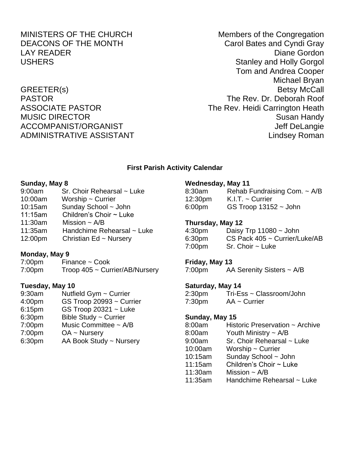MINISTERS OF THE CHURCH Members of the Congregation DEACONS OF THE MONTH Carol Bates and Cyndi Gray LAY READER **Diane Gordon** USHERS **Stanley and Holly Gorgol** Tom and Andrea Cooper Michael Bryan GREETER(s) Betsy McCall PASTOR The Rev. Dr. Deborah Roof ASSOCIATE PASTOR The Rev. Heidi Carrington Heath MUSIC DIRECTOR Susan Handy ACCOMPANIST/ORGANIST ACCOMPANIST/ORGANIST ADMINISTRATIVE ASSISTANT AND THE Lindsey Roman

#### **First Parish Activity Calendar**

#### **Sunday, May 8**

- 9:00am Sr. Choir Rehearsal ~ Luke 10:00am Worship ~ Currier
- 10:15am Sunday School ~ John
- 11:15am Children's Choir ~ Luke
- 11:30am Mission ~ A/B
- 11:35am Handchime Rehearsal ~ Luke
- 12:00pm Christian Ed ~ Nursery

#### **Monday, May 9**

7:00pm Finance ~ Cook

7:00pm Troop 405 ~ Currier/AB/Nursery

#### **Tuesday, May 10**

- 9:30am Nutfield Gym ~ Currier
- 4:00pm GS Troop 20993 ~ Currier
- 6:15pm GS Troop 20321 ~ Luke
- 6:30pm Bible Study ~ Currier
- 7:00pm Music Committee ~ A/B
- 7:00pm OA ~ Nursery
- 6:30pm AA Book Study ~ Nursery

#### **Wednesday, May 11**

| 8:30am              | Rehab Fundraising Com. $\sim$ A/B |
|---------------------|-----------------------------------|
| 12:30 <sub>pm</sub> | $K.I.T. \sim$ Currier             |
| 6:00 <sub>pm</sub>  | GS Troop $13152 -$ John           |

### **Thursday, May 12**

| 4:30 <sub>pm</sub> | Daisy Trp $11080 \sim$ John          |
|--------------------|--------------------------------------|
| 6:30 <sub>pm</sub> | $CS$ Pack 405 $\sim$ Currier/Luke/AB |
| 7:00pm             | $Sr.$ Choir $\sim$ Luke              |

#### **Friday, May 13**

7:00pm AA Serenity Sisters ~ A/B

#### **Saturday, May 14**

2:30pm Tri-Ess ~ Classroom/John 7:30pm AA ~ Currier

#### **Sunday, May 15**

8:00am Historic Preservation ~ Archive 8:00am Youth Ministry ~ A/B 9:00am Sr. Choir Rehearsal ~ Luke 10:00am Worship ~ Currier 10:15am Sunday School ~ John 11:15am Children's Choir ~ Luke 11:30am Mission  $\sim$  A/B 11:35am Handchime Rehearsal ~ Luke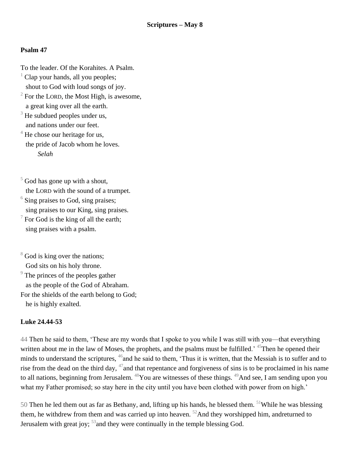## **Psalm 47**

To the leader. Of the Korahites. A Psalm.

- $<sup>1</sup>$  Clap your hands, all you peoples;</sup> shout to God with loud songs of joy.
- $2^2$  For the LORD, the Most High, is awesome, a great king over all the earth.
- $3$  He subdued peoples under us, and nations under our feet.
- $4$  He chose our heritage for us, the pride of Jacob whom he loves. *Selah*
- $5$  God has gone up with a shout, the LORD with the sound of a trumpet.
- $6$  Sing praises to God, sing praises; sing praises to our King, sing praises.
- $\sqrt{7}$  For God is the king of all the earth; sing praises with a psalm.
- $8^8$  God is king over the nations; God sits on his holy throne.
- <sup>9</sup> The princes of the peoples gather as the people of the God of Abraham. For the shields of the earth belong to God;

he is highly exalted.

## **Luke 24.44-53**

44 Then he said to them, 'These are my words that I spoke to you while I was still with you—that everything written about me in the law of Moses, the prophets, and the psalms must be fulfilled.<sup>'</sup> <sup>45</sup>Then he opened their minds to understand the scriptures,  $46$  and he said to them, 'Thus it is written, that the Messiah is to suffer and to rise from the dead on the third day,  $47$  and that repentance and forgiveness of sins is to be proclaimed in his name to all nations, beginning from Jerusalem. <sup>48</sup>You are witnesses of these things. <sup>49</sup>And see, I am sending upon you what my Father promised; so stay here in the city until you have been clothed with power from on high.'

50 Then he led them out as far as Bethany, and, lifting up his hands, he blessed them. <sup>51</sup>While he was blessing them, he withdrew from them and was carried up into heaven.  $52$  And they worshipped him, andreturned to Jerusalem with great joy;  $53$  and they were continually in the temple blessing God.